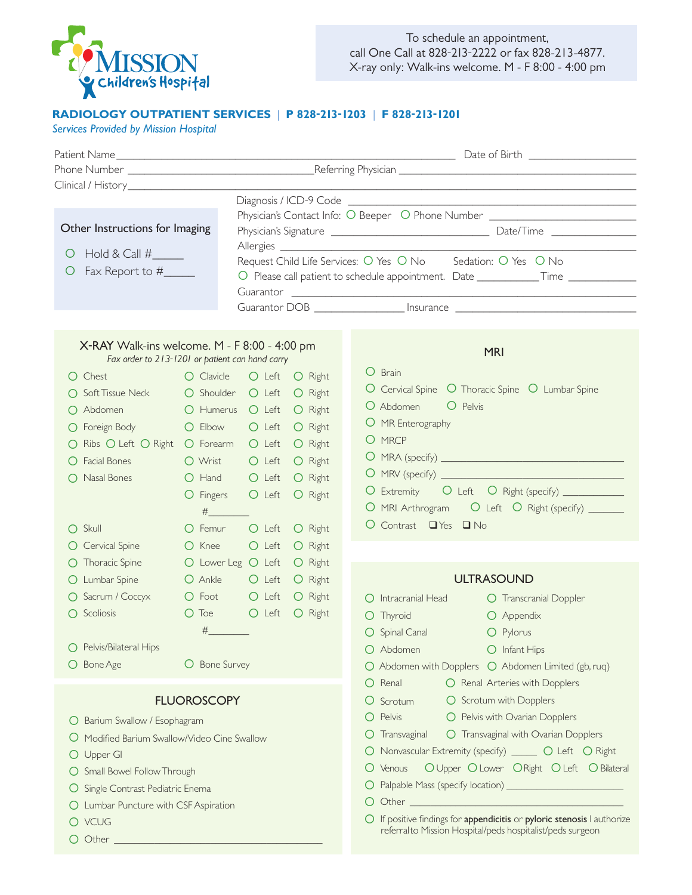

To schedule an appointment, call One Call at 828-213-2222 or fax 828-213-4877. X-ray only: Walk-ins welcome. M - F 8:00 - 4:00 pm

## **RADIOLOGY OUTPATIENT SERVICES** | **P 828-213-1203** | **F 828-213-1201**

*Services Provided by Mission Hospital* 

|                                                 |               |                                                              | Physician's Contact Info: O Beeper O Phone Number ______________________________ |  |
|-------------------------------------------------|---------------|--------------------------------------------------------------|----------------------------------------------------------------------------------|--|
| Other Instructions for Imaging                  |               |                                                              |                                                                                  |  |
| Ő                                               |               | Request Child Life Services: O Yes O No Sedation: O Yes O No |                                                                                  |  |
| Fax Report to #                                 |               |                                                              | O Please call patient to schedule appointment. Date ____________Time ___________ |  |
|                                                 |               |                                                              |                                                                                  |  |
|                                                 |               |                                                              |                                                                                  |  |
|                                                 |               |                                                              |                                                                                  |  |
| X-RAY Walk-ins welcome. M - F 8:00 - 4:00 pm    |               |                                                              | <b>MRI</b>                                                                       |  |
| Fax order to 213-1201 or patient can hand carry |               |                                                              | O Brain                                                                          |  |
| $\bigcap$ Chest                                 | O Clavicle    | O Left O Right                                               | O Cervical Spine O Thoracic Spine O Lumbar Spine                                 |  |
| ○ Soft Tissue Neck                              | O Shoulder    | O Left O Right                                               | O Abdomen<br>O Pelvis                                                            |  |
| $\bigcap$ Abdomen                               |               | O Humerus O Left O Right                                     | O MR Enterography                                                                |  |
| O Foreign Body                                  |               | O Elbow O Left O Right                                       | O MRCP                                                                           |  |
| O Ribs O Left O Right O Forearm O Left O Right  |               |                                                              |                                                                                  |  |
| O Facial Bones                                  | O Wrist       | O Right<br>$O$ Left                                          |                                                                                  |  |
| O Nasal Bones                                   |               | O Hand O Left<br>O Right                                     | O Extremity O Left O Right (specify) ___________                                 |  |
|                                                 |               | O Fingers O Left O Right                                     | O MRI Arthrogram O Left O Right (specify) ______                                 |  |
|                                                 | $\#$          |                                                              | O Contrast TYes TINo                                                             |  |
| $\bigcap$ Skull                                 | O Femur       | $O$ Left<br>O Right                                          |                                                                                  |  |
| O Cervical Spine                                | O Knee        | O Left<br>O Right                                            |                                                                                  |  |
| O Thoracic Spine                                |               | O Lower Leg O Left O Right                                   |                                                                                  |  |
| O Lumbar Spine                                  | O Ankle       | O Left O Right                                               | <b>ULTRASOUND</b>                                                                |  |
| O Sacrum / Coccyx                               |               | O Foot O Left O Right                                        | O Intracranial Head<br>O Transcranial Doppler                                    |  |
| O Scoliosis                                     |               | O Toe O Left O Right                                         | O Thyroid<br>O Appendix                                                          |  |
|                                                 | $\#$ and $\#$ |                                                              | O Spinal Canal<br>O Pylorus                                                      |  |
| O Pelvis/Bilateral Hips                         |               |                                                              | O Abdomen O Infant Hips                                                          |  |
| O Bone Age                                      | O Bone Survey |                                                              | $\bigcirc$ Abdomen with Dopplers $\bigcirc$ Abdomen Limited (gb, ruq)            |  |
|                                                 |               |                                                              | O Renal<br>O Renal Arteries with Dopplers                                        |  |
| <b>FLUOROSCOPY</b>                              |               |                                                              | O Scrotum with Dopplers<br>O Scrotum                                             |  |
| O Barium Swallow / Esophagram                   |               |                                                              | O Pelvis with Ovarian Dopplers<br>O Pelvis                                       |  |
| O Modified Barium Swallow/Video Cine Swallow    |               |                                                              | O Transvaginal with Ovarian Dopplers<br>$\bigcirc$ Transvaginal                  |  |
| Upper GI                                        |               |                                                              | O Nonvascular Extremity (specify) ______ O Left O Right                          |  |
| O Small Bowel Follow Through                    |               |                                                              | O Upper O Lower O Right O Left O Bilateral<br>O Venous                           |  |
| O Single Contrast Pediatric Enema               |               |                                                              |                                                                                  |  |
| O Lumbar Puncture with CSF Aspiration           |               |                                                              | Ő                                                                                |  |
| O VCUG                                          |               |                                                              | O If positive findings for appendicitis or pyloric stenosis I authorize          |  |
|                                                 |               |                                                              | referralto Mission Hospital/peds hospitalist/peds surgeon                        |  |